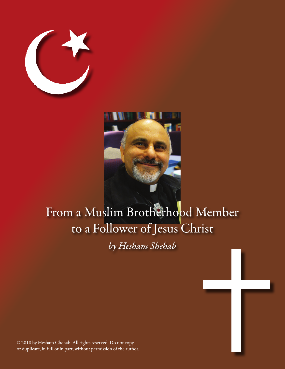



# From a Muslim Brotherhood Member to a Follower of Jesus Christ *by Hesham Shehab*

© 2018 by Hesham Chehab. All rights reserved. Do not copy or duplicate, in full or in part, without permission of the author.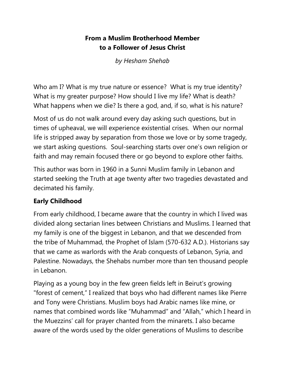## **From a Muslim Brotherhood Member to a Follower of Jesus Christ**

*by Hesham Shehab* 

Who am I? What is my true nature or essence? What is my true identity? What is my greater purpose? How should I live my life? What is death? What happens when we die? Is there a god, and, if so, what is his nature?

Most of us do not walk around every day asking such questions, but in times of upheaval, we will experience existential crises. When our normal life is stripped away by separation from those we love or by some tragedy, we start asking questions. Soul-searching starts over one's own religion or faith and may remain focused there or go beyond to explore other faiths.

This author was born in 1960 in a Sunni Muslim family in Lebanon and started seeking the Truth at age twenty after two tragedies devastated and decimated his family.

## **Early Childhood**

From early childhood, I became aware that the country in which I lived was divided along sectarian lines between Christians and Muslims. I learned that my family is one of the biggest in Lebanon, and that we descended from the tribe of Muhammad, the Prophet of Islam (570-632 A.D.). Historians say that we came as warlords with the Arab conquests of Lebanon, Syria, and Palestine. Nowadays, the Shehabs number more than ten thousand people in Lebanon.

Playing as a young boy in the few green fields left in Beirut's growing "forest of cement," I realized that boys who had different names like Pierre and Tony were Christians. Muslim boys had Arabic names like mine, or names that combined words like "Muhammad" and "Allah," which I heard in the Muezzins' call for prayer chanted from the minarets. I also became aware of the words used by the older generations of Muslims to describe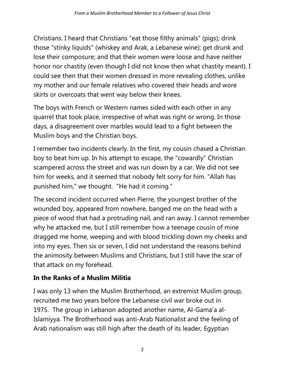Christians. I heard that Christians "eat those filthy animals" (pigs); drink those "stinky liquids" (whiskey and Arak, a Lebanese wine); get drunk and lose their composure; and that their women were loose and have neither honor nor chastity (even though I did not know then what chastity meant). I could see then that their women dressed in more revealing clothes, unlike my mother and our female relatives who covered their heads and wore skirts or overcoats that went way below their knees.

The boys with French or Western names sided with each other in any quarrel that took place, irrespective of what was right or wrong. In those days, a disagreement over marbles would lead to a fight between the Muslim boys and the Christian boys.

I remember two incidents clearly. In the first, my cousin chased a Christian boy to beat him up. In his attempt to escape, the "cowardly" Christian scampered across the street and was run down by a car. We did not see him for weeks, and it seemed that nobody felt sorry for him. "Allah has punished him," we thought. "He had it coming."

The second incident occurred when Pierre, the youngest brother of the wounded boy, appeared from nowhere, banged me on the head with a piece of wood that had a protruding nail, and ran away. I cannot remember why he attacked me, but I still remember how a teenage cousin of mine dragged me home, weeping and with blood trickling down my cheeks and into my eyes. Then six or seven, I did not understand the reasons behind the animosity between Muslims and Christians, but I still have the scar of that attack on my forehead.

## **In the Ranks of a Muslim Militia**

I was only 13 when the Muslim Brotherhood, an extremist Muslim group, recruited me two years before the Lebanese civil war broke out in 1975. The group in Lebanon adopted another name, Al-Gama'a al-Islamiyya. The Brotherhood was anti-Arab Nationalist and the feeling of Arab nationalism was still high after the death of its leader, Egyptian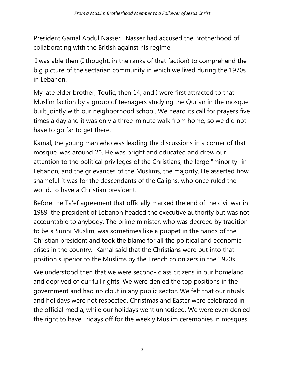President Gamal Abdul Nasser. Nasser had accused the Brotherhood of collaborating with the British against his regime.

 I was able then (I thought, in the ranks of that faction) to comprehend the big picture of the sectarian community in which we lived during the 1970s in Lebanon.

My late elder brother, Toufic, then 14, and I were first attracted to that Muslim faction by a group of teenagers studying the Qur'an in the mosque built jointly with our neighborhood school. We heard its call for prayers five times a day and it was only a three-minute walk from home, so we did not have to go far to get there.

Kamal, the young man who was leading the discussions in a corner of that mosque, was around 20. He was bright and educated and drew our attention to the political privileges of the Christians, the large "minority" in Lebanon, and the grievances of the Muslims, the majority. He asserted how shameful it was for the descendants of the Caliphs, who once ruled the world, to have a Christian president.

Before the Ta'ef agreement that officially marked the end of the civil war in 1989, the president of Lebanon headed the executive authority but was not accountable to anybody. The prime minister, who was decreed by tradition to be a Sunni Muslim, was sometimes like a puppet in the hands of the Christian president and took the blame for all the political and economic crises in the country. Kamal said that the Christians were put into that position superior to the Muslims by the French colonizers in the 1920s.

We understood then that we were second- class citizens in our homeland and deprived of our full rights. We were denied the top positions in the government and had no clout in any public sector. We felt that our rituals and holidays were not respected. Christmas and Easter were celebrated in the official media, while our holidays went unnoticed. We were even denied the right to have Fridays off for the weekly Muslim ceremonies in mosques.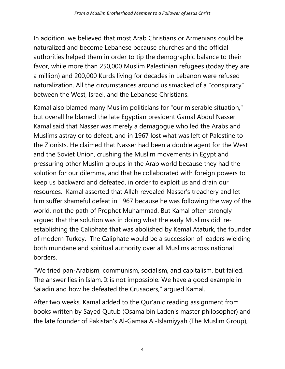In addition, we believed that most Arab Christians or Armenians could be naturalized and become Lebanese because churches and the official authorities helped them in order to tip the demographic balance to their favor, while more than 250,000 Muslim Palestinian refugees (today they are a million) and 200,000 Kurds living for decades in Lebanon were refused naturalization. All the circumstances around us smacked of a "conspiracy" between the West, Israel, and the Lebanese Christians.

Kamal also blamed many Muslim politicians for "our miserable situation," but overall he blamed the late Egyptian president Gamal Abdul Nasser. Kamal said that Nasser was merely a demagogue who led the Arabs and Muslims astray or to defeat, and in 1967 lost what was left of Palestine to the Zionists. He claimed that Nasser had been a double agent for the West and the Soviet Union, crushing the Muslim movements in Egypt and pressuring other Muslim groups in the Arab world because they had the solution for our dilemma, and that he collaborated with foreign powers to keep us backward and defeated, in order to exploit us and drain our resources. Kamal asserted that Allah revealed Nasser's treachery and let him suffer shameful defeat in 1967 because he was following the way of the world, not the path of Prophet Muhammad. But Kamal often strongly argued that the solution was in doing what the early Muslims did: reestablishing the Caliphate that was abolished by Kemal Ataturk, the founder of modern Turkey. The Caliphate would be a succession of leaders wielding both mundane and spiritual authority over all Muslims across national borders.

"We tried pan-Arabism, communism, socialism, and capitalism, but failed. The answer lies in Islam. It is not impossible. We have a good example in Saladin and how he defeated the Crusaders," argued Kamal.

After two weeks, Kamal added to the Qur'anic reading assignment from books written by Sayed Qutub (Osama bin Laden's master philosopher) and the late founder of Pakistan's Al-Gamaa Al-Islamiyyah (The Muslim Group),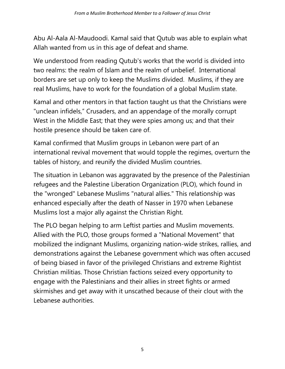Abu Al-Aala Al-Maudoodi. Kamal said that Qutub was able to explain what Allah wanted from us in this age of defeat and shame.

We understood from reading Qutub's works that the world is divided into two realms: the realm of Islam and the realm of unbelief. International borders are set up only to keep the Muslims divided. Muslims, if they are real Muslims, have to work for the foundation of a global Muslim state.

Kamal and other mentors in that faction taught us that the Christians were "unclean infidels," Crusaders, and an appendage of the morally corrupt West in the Middle East; that they were spies among us; and that their hostile presence should be taken care of.

Kamal confirmed that Muslim groups in Lebanon were part of an international revival movement that would topple the regimes, overturn the tables of history, and reunify the divided Muslim countries.

The situation in Lebanon was aggravated by the presence of the Palestinian refugees and the Palestine Liberation Organization (PLO), which found in the "wronged" Lebanese Muslims "natural allies." This relationship was enhanced especially after the death of Nasser in 1970 when Lebanese Muslims lost a major ally against the Christian Right.

The PLO began helping to arm Leftist parties and Muslim movements. Allied with the PLO, those groups formed a "National Movement" that mobilized the indignant Muslims, organizing nation-wide strikes, rallies, and demonstrations against the Lebanese government which was often accused of being biased in favor of the privileged Christians and extreme Rightist Christian militias. Those Christian factions seized every opportunity to engage with the Palestinians and their allies in street fights or armed skirmishes and get away with it unscathed because of their clout with the Lebanese authorities.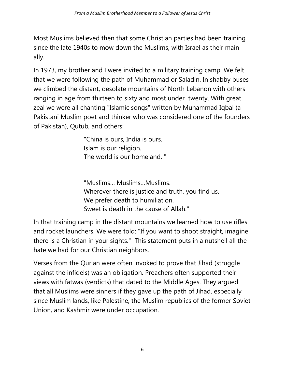Most Muslims believed then that some Christian parties had been training since the late 1940s to mow down the Muslims, with Israel as their main ally.

In 1973, my brother and I were invited to a military training camp. We felt that we were following the path of Muhammad or Saladin. In shabby buses we climbed the distant, desolate mountains of North Lebanon with others ranging in age from thirteen to sixty and most under twenty. With great zeal we were all chanting "Islamic songs" written by Muhammad Iqbal (a Pakistani Muslim poet and thinker who was considered one of the founders of Pakistan), Qutub, and others:

> "China is ours, India is ours. Islam is our religion. The world is our homeland. "

"Muslims… Muslims…Muslims. Wherever there is justice and truth, you find us. We prefer death to humiliation. Sweet is death in the cause of Allah."

In that training camp in the distant mountains we learned how to use rifles and rocket launchers. We were told: "If you want to shoot straight, imagine there is a Christian in your sights." This statement puts in a nutshell all the hate we had for our Christian neighbors.

Verses from the Qur'an were often invoked to prove that Jihad (struggle against the infidels) was an obligation. Preachers often supported their views with fatwas (verdicts) that dated to the Middle Ages. They argued that all Muslims were sinners if they gave up the path of Jihad, especially since Muslim lands, like Palestine, the Muslim republics of the former Soviet Union, and Kashmir were under occupation.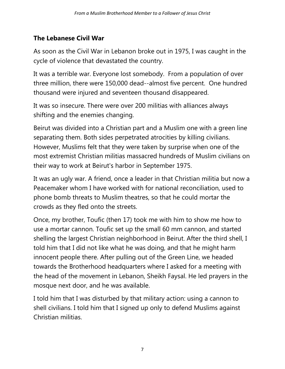#### **The Lebanese Civil War**

As soon as the Civil War in Lebanon broke out in 1975, I was caught in the cycle of violence that devastated the country.

It was a terrible war. Everyone lost somebody. From a population of over three million, there were 150,000 dead--almost five percent. One hundred thousand were injured and seventeen thousand disappeared.

It was so insecure. There were over 200 militias with alliances always shifting and the enemies changing.

Beirut was divided into a Christian part and a Muslim one with a green line separating them. Both sides perpetrated atrocities by killing civilians. However, Muslims felt that they were taken by surprise when one of the most extremist Christian militias massacred hundreds of Muslim civilians on their way to work at Beirut's harbor in September 1975.

It was an ugly war. A friend, once a leader in that Christian militia but now a Peacemaker whom I have worked with for national reconciliation, used to phone bomb threats to Muslim theatres, so that he could mortar the crowds as they fled onto the streets.

Once, my brother, Toufic (then 17) took me with him to show me how to use a mortar cannon. Toufic set up the small 60 mm cannon, and started shelling the largest Christian neighborhood in Beirut. After the third shell, I told him that I did not like what he was doing, and that he might harm innocent people there. After pulling out of the Green Line, we headed towards the Brotherhood headquarters where I asked for a meeting with the head of the movement in Lebanon, Sheikh Faysal. He led prayers in the mosque next door, and he was available.

I told him that I was disturbed by that military action: using a cannon to shell civilians. I told him that I signed up only to defend Muslims against Christian militias.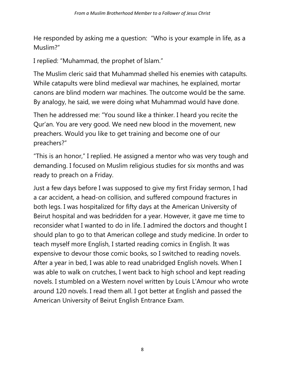He responded by asking me a question: "Who is your example in life, as a Muslim?"

I replied: "Muhammad, the prophet of Islam."

The Muslim cleric said that Muhammad shelled his enemies with catapults. While catapults were blind medieval war machines, he explained, mortar canons are blind modern war machines. The outcome would be the same. By analogy, he said, we were doing what Muhammad would have done.

Then he addressed me: "You sound like a thinker. I heard you recite the Qur'an. You are very good. We need new blood in the movement, new preachers. Would you like to get training and become one of our preachers?"

"This is an honor," I replied. He assigned a mentor who was very tough and demanding. I focused on Muslim religious studies for six months and was ready to preach on a Friday.

Just a few days before I was supposed to give my first Friday sermon, I had a car accident, a head-on collision, and suffered compound fractures in both legs. I was hospitalized for fifty days at the American University of Beirut hospital and was bedridden for a year. However, it gave me time to reconsider what I wanted to do in life. I admired the doctors and thought I should plan to go to that American college and study medicine. In order to teach myself more English, I started reading comics in English. It was expensive to devour those comic books, so I switched to reading novels. After a year in bed, I was able to read unabridged English novels. When I was able to walk on crutches, I went back to high school and kept reading novels. I stumbled on a Western novel written by Louis L'Amour who wrote around 120 novels. I read them all. I got better at English and passed the American University of Beirut English Entrance Exam.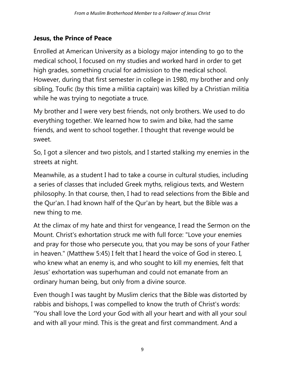#### **Jesus, the Prince of Peace**

Enrolled at American University as a biology major intending to go to the medical school, I focused on my studies and worked hard in order to get high grades, something crucial for admission to the medical school. However, during that first semester in college in 1980, my brother and only sibling, Toufic (by this time a militia captain) was killed by a Christian militia while he was trying to negotiate a truce.

My brother and I were very best friends, not only brothers. We used to do everything together. We learned how to swim and bike, had the same friends, and went to school together. I thought that revenge would be sweet.

So, I got a silencer and two pistols, and I started stalking my enemies in the streets at night.

Meanwhile, as a student I had to take a course in cultural studies, including a series of classes that included Greek myths, religious texts, and Western philosophy. In that course, then, I had to read selections from the Bible and the Qur'an. I had known half of the Qur'an by heart, but the Bible was a new thing to me.

At the climax of my hate and thirst for vengeance, I read the Sermon on the Mount. Christ's exhortation struck me with full force: "Love your enemies and pray for those who persecute you, that you may be sons of your Father in heaven." (Matthew 5:45) I felt that I heard the voice of God in stereo. I, who knew what an enemy is, and who sought to kill my enemies, felt that Jesus' exhortation was superhuman and could not emanate from an ordinary human being, but only from a divine source.

Even though I was taught by Muslim clerics that the Bible was distorted by rabbis and bishops, I was compelled to know the truth of Christ's words: "You shall love the Lord your God with all your heart and with all your soul and with all your mind. This is the great and first commandment. And a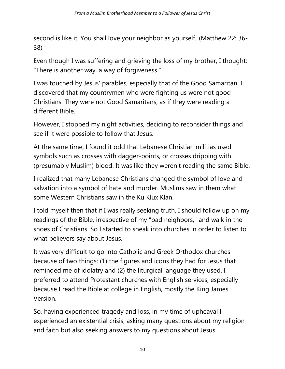second is like it: You shall love your neighbor as yourself."(Matthew 22: 36- 38)

Even though I was suffering and grieving the loss of my brother, I thought: "There is another way, a way of forgiveness."

I was touched by Jesus' parables, especially that of the Good Samaritan. I discovered that my countrymen who were fighting us were not good Christians. They were not Good Samaritans, as if they were reading a different Bible.

However, I stopped my night activities, deciding to reconsider things and see if it were possible to follow that Jesus.

At the same time, I found it odd that Lebanese Christian militias used symbols such as crosses with dagger-points, or crosses dripping with (presumably Muslim) blood. It was like they weren't reading the same Bible.

I realized that many Lebanese Christians changed the symbol of love and salvation into a symbol of hate and murder. Muslims saw in them what some Western Christians saw in the Ku Klux Klan.

I told myself then that if I was really seeking truth, I should follow up on my readings of the Bible, irrespective of my "bad neighbors," and walk in the shoes of Christians. So I started to sneak into churches in order to listen to what believers say about Jesus.

It was very difficult to go into Catholic and Greek Orthodox churches because of two things: (1) the figures and icons they had for Jesus that reminded me of idolatry and (2) the liturgical language they used. I preferred to attend Protestant churches with English services, especially because I read the Bible at college in English, mostly the King James Version.

So, having experienced tragedy and loss, in my time of upheaval I experienced an existential crisis, asking many questions about my religion and faith but also seeking answers to my questions about Jesus.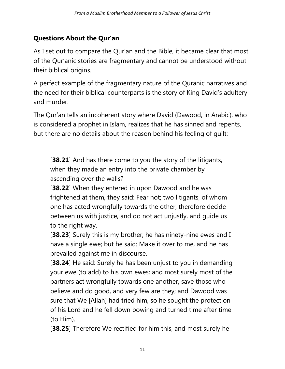## **Questions About the Qur'an**

As I set out to compare the Qur'an and the Bible, it became clear that most of the Qur'anic stories are fragmentary and cannot be understood without their biblical origins.

A perfect example of the fragmentary nature of the Quranic narratives and the need for their biblical counterparts is the story of King David's adultery and murder.

The Qur'an tells an incoherent story where David (Dawood, in Arabic), who is considered a prophet in Islam, realizes that he has sinned and repents, but there are no details about the reason behind his feeling of guilt:

[**38.21**] And has there come to you the story of the litigants, when they made an entry into the private chamber by ascending over the walls?

[38.22] When they entered in upon Dawood and he was frightened at them, they said: Fear not; two litigants, of whom one has acted wrongfully towards the other, therefore decide between us with justice, and do not act unjustly, and guide us to the right way.

[**38.23**] Surely this is my brother; he has ninety-nine ewes and I have a single ewe; but he said: Make it over to me, and he has prevailed against me in discourse.

[**38.24**] He said: Surely he has been unjust to you in demanding your ewe (to add) to his own ewes; and most surely most of the partners act wrongfully towards one another, save those who believe and do good, and very few are they; and Dawood was sure that We [Allah] had tried him, so he sought the protection of his Lord and he fell down bowing and turned time after time (to Him).

[38.25] Therefore We rectified for him this, and most surely he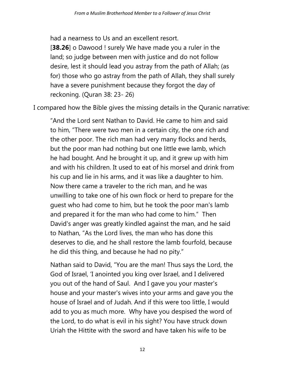had a nearness to Us and an excellent resort.

[38.26] o Dawood ! surely We have made you a ruler in the land; so judge between men with justice and do not follow desire, lest it should lead you astray from the path of Allah; (as for) those who go astray from the path of Allah, they shall surely have a severe punishment because they forgot the day of reckoning. (Quran 38: 23- 26)

I compared how the Bible gives the missing details in the Quranic narrative:

"And the Lord sent Nathan to David. He came to him and said to him, "There were two men in a certain city, the one rich and the other poor. The rich man had very many flocks and herds, but the poor man had nothing but one little ewe lamb, which he had bought. And he brought it up, and it grew up with him and with his children. It used to eat of his morsel and drink from his cup and lie in his arms, and it was like a daughter to him. Now there came a traveler to the rich man, and he was unwilling to take one of his own flock or herd to prepare for the guest who had come to him, but he took the poor man's lamb and prepared it for the man who had come to him." Then David's anger was greatly kindled against the man, and he said to Nathan, "As the Lord lives, the man who has done this deserves to die, and he shall restore the lamb fourfold, because he did this thing, and because he had no pity."

Nathan said to David, "You are the man! Thus says the Lord, the God of Israel, 'I anointed you king over Israel, and I delivered you out of the hand of Saul. And I gave you your master's house and your master's wives into your arms and gave you the house of Israel and of Judah. And if this were too little, I would add to you as much more. Why have you despised the word of the Lord, to do what is evil in his sight? You have struck down Uriah the Hittite with the sword and have taken his wife to be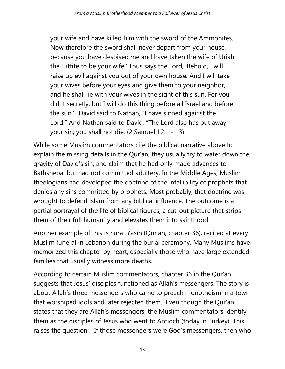your wife and have killed him with the sword of the Ammonites. Now therefore the sword shall never depart from your house, because you have despised me and have taken the wife of Uriah the Hittite to be your wife.' Thus says the Lord, 'Behold, I will raise up evil against you out of your own house. And I will take your wives before your eyes and give them to your neighbor, and he shall lie with your wives in the sight of this sun. For you did it secretly, but I will do this thing before all Israel and before the sun.'" David said to Nathan, "I have sinned against the Lord." And Nathan said to David, "The Lord also has put away your sin; you shall not die. (2 Samuel 12: 1- 13)

While some Muslim commentators cite the biblical narrative above to explain the missing details in the Qur'an, they usually try to water down the gravity of David's sin, and claim that he had only made advances to Bathsheba, but had not committed adultery. In the Middle Ages, Muslim theologians had developed the doctrine of the infallibility of prophets that denies any sins committed by prophets. Most probably, that doctrine was wrought to defend Islam from any biblical influence. The outcome is a partial portrayal of the life of biblical figures, a cut-out picture that strips them of their full humanity and elevates them into sainthood.

Another example of this is Surat Yasin (Qur'an, chapter 36), recited at every Muslim funeral in Lebanon during the burial ceremony. Many Muslims have memorized this chapter by heart, especially those who have large extended families that usually witness more deaths.

According to certain Muslim commentators, chapter 36 in the Qur'an suggests that Jesus' disciples functioned as Allah's messengers. The story is about Allah's three messengers who came to preach monotheism in a town that worshiped idols and later rejected them. Even though the Qur'an states that they are Allah's messengers, the Muslim commentators identify them as the disciples of Jesus who went to Antioch (today in Turkey). This raises the question: If those messengers were God's messengers, then who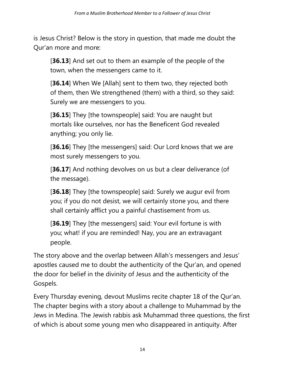is Jesus Christ? Below is the story in question, that made me doubt the Qur'an more and more:

[**36.13**] And set out to them an example of the people of the town, when the messengers came to it.

[36.14] When We [Allah] sent to them two, they rejected both of them, then We strengthened (them) with a third, so they said: Surely we are messengers to you.

[**36.15**] They [the townspeople] said: You are naught but mortals like ourselves, nor has the Beneficent God revealed anything; you only lie.

[36.16] They [the messengers] said: Our Lord knows that we are most surely messengers to you.

[36.17] And nothing devolves on us but a clear deliverance (of the message).

[**36.18**] They [the townspeople] said: Surely we augur evil from you; if you do not desist, we will certainly stone you, and there shall certainly afflict you a painful chastisement from us.

[36.19] They [the messengers] said: Your evil fortune is with you; what! if you are reminded! Nay, you are an extravagant people.

The story above and the overlap between Allah's messengers and Jesus' apostles caused me to doubt the authenticity of the Qur'an, and opened the door for belief in the divinity of Jesus and the authenticity of the Gospels.

Every Thursday evening, devout Muslims recite chapter 18 of the Qur'an. The chapter begins with a story about a challenge to Muhammad by the Jews in Medina. The Jewish rabbis ask Muhammad three questions, the first of which is about some young men who disappeared in antiquity. After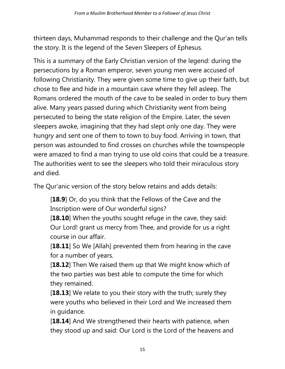thirteen days, Muhammad responds to their challenge and the Qur'an tells the story. It is the legend of the Seven Sleepers of Ephesus.

This is a summary of the Early Christian version of the legend: during the persecutions by a Roman emperor, seven young men were accused of following Christianity. They were given some time to give up their faith, but chose to flee and hide in a mountain cave where they fell asleep. The Romans ordered the mouth of the cave to be sealed in order to bury them alive. Many years passed during which Christianity went from being persecuted to being the state religion of the Empire. Later, the seven sleepers awoke, imagining that they had slept only one day. They were hungry and sent one of them to town to buy food. Arriving in town, that person was astounded to find crosses on churches while the townspeople were amazed to find a man trying to use old coins that could be a treasure. The authorities went to see the sleepers who told their miraculous story and died.

The Qur'anic version of the story below retains and adds details:

[**18.9**] Or, do you think that the Fellows of the Cave and the Inscription were of Our wonderful signs?

[18.10] When the youths sought refuge in the cave, they said: Our Lord! grant us mercy from Thee, and provide for us a right course in our affair.

[18.11] So We [Allah] prevented them from hearing in the cave for a number of years.

[18.12] Then We raised them up that We might know which of the two parties was best able to compute the time for which they remained.

[18.13] We relate to you their story with the truth; surely they were youths who believed in their Lord and We increased them in guidance.

[**18.14**] And We strengthened their hearts with patience, when they stood up and said: Our Lord is the Lord of the heavens and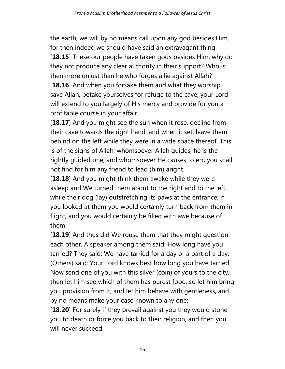the earth; we will by no means call upon any god besides Him, for then indeed we should have said an extravagant thing. [**18.15**] These our people have taken gods besides Him; why do they not produce any clear authority in their support? Who is then more unjust than he who forges a lie against Allah? [18.16] And when you forsake them and what they worship save Allah, betake yourselves for refuge to the cave; your Lord will extend to you largely of His mercy and provide for you a profitable course in your affair.

[**18.17**] And you might see the sun when it rose, decline from their cave towards the right hand, and when it set, leave them behind on the left while they were in a wide space thereof. This is of the signs of Allah; whomsoever Allah guides, he is the rightly guided one, and whomsoever He causes to err, you shall not find for him any friend to lead (him) aright.

[**18.18**] And you might think them awake while they were asleep and We turned them about to the right and to the left, while their dog (lay) outstretching its paws at the entrance; if you looked at them you would certainly turn back from them in flight, and you would certainly be filled with awe because of them.

[**18.19**] And thus did We rouse them that they might question each other. A speaker among them said: How long have you tarried? They said: We have tarried for a day or a part of a day. (Others) said: Your Lord knows best how long you have tarried. Now send one of you with this silver (coin) of yours to the city, then let him see which of them has purest food, so let him bring you provision from it, and let him behave with gentleness, and by no means make your case known to any one:

[**18.20**] For surely if they prevail against you they would stone you to death or force you back to their religion, and then you will never succeed.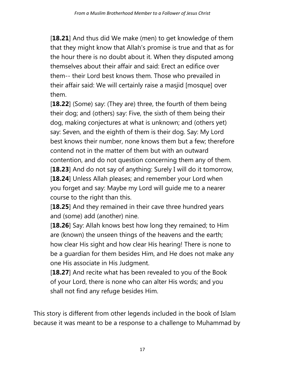[**18.21**] And thus did We make (men) to get knowledge of them that they might know that Allah's promise is true and that as for the hour there is no doubt about it. When they disputed among themselves about their affair and said: Erect an edifice over them-- their Lord best knows them. Those who prevailed in their affair said: We will certainly raise a masjid [mosque] over them.

[**18.22**] (Some) say: (They are) three, the fourth of them being their dog; and (others) say: Five, the sixth of them being their dog, making conjectures at what is unknown; and (others yet) say: Seven, and the eighth of them is their dog. Say: My Lord best knows their number, none knows them but a few; therefore contend not in the matter of them but with an outward contention, and do not question concerning them any of them. [18.23] And do not say of anything: Surely I will do it tomorrow, [**18.24**] Unless Allah pleases; and remember your Lord when you forget and say: Maybe my Lord will guide me to a nearer course to the right than this.

[18.25] And they remained in their cave three hundred years and (some) add (another) nine.

[**18.26**] Say: Allah knows best how long they remained; to Him are (known) the unseen things of the heavens and the earth; how clear His sight and how clear His hearing! There is none to be a guardian for them besides Him, and He does not make any one His associate in His Judgment.

[**18.27**] And recite what has been revealed to you of the Book of your Lord, there is none who can alter His words; and you shall not find any refuge besides Him.

This story is different from other legends included in the book of Islam because it was meant to be a response to a challenge to Muhammad by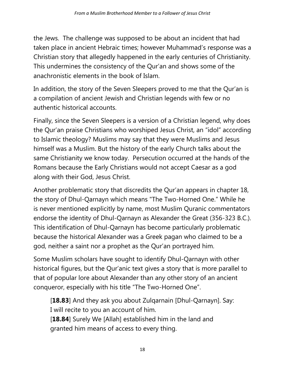the Jews. The challenge was supposed to be about an incident that had taken place in ancient Hebraic times; however Muhammad's response was a Christian story that allegedly happened in the early centuries of Christianity. This undermines the consistency of the Qur'an and shows some of the anachronistic elements in the book of Islam.

In addition, the story of the Seven Sleepers proved to me that the Qur'an is a compilation of ancient Jewish and Christian legends with few or no authentic historical accounts.

Finally, since the Seven Sleepers is a version of a Christian legend, why does the Qur'an praise Christians who worshiped Jesus Christ, an "idol" according to Islamic theology? Muslims may say that they were Muslims and Jesus himself was a Muslim. But the history of the early Church talks about the same Christianity we know today. Persecution occurred at the hands of the Romans because the Early Christians would not accept Caesar as a god along with their God, Jesus Christ.

Another problematic story that discredits the Qur'an appears in chapter 18, the story of Dhul-Qarnayn which means "The Two-Horned One." While he is never mentioned explicitly by name, most Muslim Quranic commentators endorse the identity of Dhul-Qarnayn as Alexander the Great (356-323 B.C.). This identification of Dhul-Qarnayn has become particularly problematic because the historical Alexander was a Greek pagan who claimed to be a god, neither a saint nor a prophet as the Qur'an portrayed him.

Some Muslim scholars have sought to identify Dhul-Qarnayn with other historical figures, but the Qur'anic text gives a story that is more parallel to that of popular lore about Alexander than any other story of an ancient conqueror, especially with his title "The Two-Horned One".

[**18.83**] And they ask you about Zulqarnain [Dhul-Qarnayn]. Say: I will recite to you an account of him. [**18.84**] Surely We [Allah] established him in the land and granted him means of access to every thing.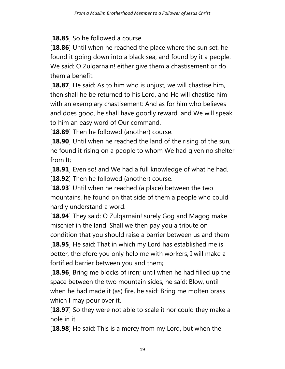[**18.85**] So he followed a course.

[**18.86**] Until when he reached the place where the sun set, he found it going down into a black sea, and found by it a people. We said: O Zulqarnain! either give them a chastisement or do them a benefit.

[**18.87**] He said: As to him who is unjust, we will chastise him, then shall he be returned to his Lord, and He will chastise him with an exemplary chastisement: And as for him who believes and does good, he shall have goodly reward, and We will speak to him an easy word of Our command.

[18.89] Then he followed (another) course.

[**18.90**] Until when he reached the land of the rising of the sun, he found it rising on a people to whom We had given no shelter from It;

[18.91] Even so! and We had a full knowledge of what he had. [**18.92**] Then he followed (another) course.

[**18.93**] Until when he reached (a place) between the two mountains, he found on that side of them a people who could hardly understand a word.

[18.94] They said: O Zulgarnain! surely Gog and Magog make mischief in the land. Shall we then pay you a tribute on condition that you should raise a barrier between us and them [**18.95**] He said: That in which my Lord has established me is better, therefore you only help me with workers, I will make a fortified barrier between you and them;

[**18.96**] Bring me blocks of iron; until when he had filled up the space between the two mountain sides, he said: Blow, until when he had made it (as) fire, he said: Bring me molten brass which I may pour over it.

[**18.97**] So they were not able to scale it nor could they make a hole in it.

[**18.98**] He said: This is a mercy from my Lord, but when the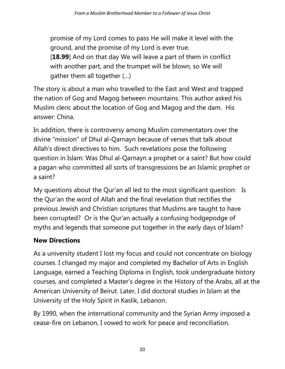promise of my Lord comes to pass He will make it level with the ground, and the promise of my Lord is ever true. [**18.99**] And on that day We will leave a part of them in conflict with another part, and the trumpet will be blown, so We will

gather them all together (…)

The story is about a man who travelled to the East and West and trapped the nation of Gog and Magog between mountains. This author asked his Muslim cleric about the location of Gog and Magog and the dam. His answer: China.

In addition, there is controversy among Muslim commentators over the divine "mission" of Dhul al-Qarnayn because of verses that talk about Allah's direct directives to him. Such revelations pose the following question in Islam: Was Dhul al-Qarnayn a prophet or a saint? But how could a pagan who committed all sorts of transgressions be an Islamic prophet or a saint?

My questions about the Qur'an all led to the most significant question: Is the Qur'an the word of Allah and the final revelation that rectifies the previous Jewish and Christian scriptures that Muslims are taught to have been corrupted? Or is the Qur'an actually a confusing hodgepodge of myths and legends that someone put together in the early days of Islam?

#### **New Directions**

As a university student I lost my focus and could not concentrate on biology courses. I changed my major and completed my Bachelor of Arts in English Language, earned a Teaching Diploma in English, took undergraduate history courses, and completed a Master's degree in the History of the Arabs, all at the American University of Beirut. Later, I did doctoral studies in Islam at the University of the Holy Spirit in Kaslik, Lebanon.

By 1990, when the international community and the Syrian Army imposed a cease-fire on Lebanon, I vowed to work for peace and reconciliation.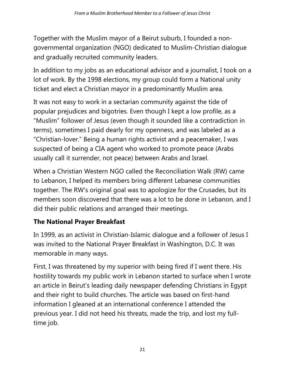Together with the Muslim mayor of a Beirut suburb, I founded a nongovernmental organization (NGO) dedicated to Muslim-Christian dialogue and gradually recruited community leaders.

In addition to my jobs as an educational advisor and a journalist, I took on a lot of work. By the 1998 elections, my group could form a National unity ticket and elect a Christian mayor in a predominantly Muslim area.

It was not easy to work in a sectarian community against the tide of popular prejudices and bigotries. Even though I kept a low profile, as a "Muslim" follower of Jesus (even though it sounded like a contradiction in terms), sometimes I paid dearly for my openness, and was labeled as a "Christian-lover." Being a human rights activist and a peacemaker, I was suspected of being a CIA agent who worked to promote peace (Arabs usually call it surrender, not peace) between Arabs and Israel.

When a Christian Western NGO called the Reconciliation Walk (RW) came to Lebanon, I helped its members bring different Lebanese communities together. The RW's original goal was to apologize for the Crusades, but its members soon discovered that there was a lot to be done in Lebanon, and I did their public relations and arranged their meetings.

## **The National Prayer Breakfast**

In 1999, as an activist in Christian-Islamic dialogue and a follower of Jesus I was invited to the National Prayer Breakfast in Washington, D.C. It was memorable in many ways.

First, I was threatened by my superior with being fired if I went there. His hostility towards my public work in Lebanon started to surface when I wrote an article in Beirut's leading daily newspaper defending Christians in Egypt and their right to build churches. The article was based on first-hand information I gleaned at an international conference I attended the previous year. I did not heed his threats, made the trip, and lost my fulltime job.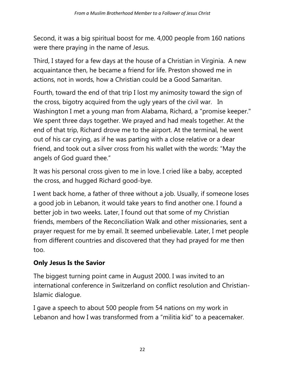Second, it was a big spiritual boost for me. 4,000 people from 160 nations were there praying in the name of Jesus.

Third, I stayed for a few days at the house of a Christian in Virginia. A new acquaintance then, he became a friend for life. Preston showed me in actions, not in words, how a Christian could be a Good Samaritan.

Fourth, toward the end of that trip I lost my animosity toward the sign of the cross, bigotry acquired from the ugly years of the civil war. In Washington I met a young man from Alabama, Richard, a "promise keeper." We spent three days together. We prayed and had meals together. At the end of that trip, Richard drove me to the airport. At the terminal, he went out of his car crying, as if he was parting with a close relative or a dear friend, and took out a silver cross from his wallet with the words: "May the angels of God guard thee."

It was his personal cross given to me in love. I cried like a baby, accepted the cross, and hugged Richard good-bye.

I went back home, a father of three without a job. Usually, if someone loses a good job in Lebanon, it would take years to find another one. I found a better job in two weeks. Later, I found out that some of my Christian friends, members of the Reconciliation Walk and other missionaries, sent a prayer request for me by email. It seemed unbelievable. Later, I met people from different countries and discovered that they had prayed for me then too.

## **Only Jesus Is the Savior**

The biggest turning point came in August 2000. I was invited to an international conference in Switzerland on conflict resolution and Christian-Islamic dialogue.

I gave a speech to about 500 people from 54 nations on my work in Lebanon and how I was transformed from a "militia kid" to a peacemaker.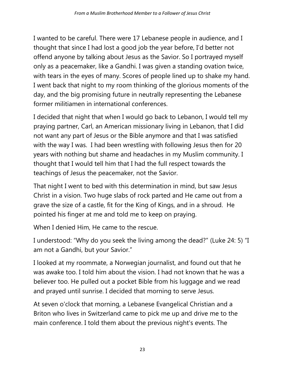I wanted to be careful. There were 17 Lebanese people in audience, and I thought that since I had lost a good job the year before, I'd better not offend anyone by talking about Jesus as the Savior. So I portrayed myself only as a peacemaker, like a Gandhi. I was given a standing ovation twice, with tears in the eyes of many. Scores of people lined up to shake my hand. I went back that night to my room thinking of the glorious moments of the day, and the big promising future in neutrally representing the Lebanese former militiamen in international conferences.

I decided that night that when I would go back to Lebanon, I would tell my praying partner, Carl, an American missionary living in Lebanon, that I did not want any part of Jesus or the Bible anymore and that I was satisfied with the way I was. I had been wrestling with following Jesus then for 20 years with nothing but shame and headaches in my Muslim community. I thought that I would tell him that I had the full respect towards the teachings of Jesus the peacemaker, not the Savior.

That night I went to bed with this determination in mind, but saw Jesus Christ in a vision. Two huge slabs of rock parted and He came out from a grave the size of a castle, fit for the King of Kings, and in a shroud. He pointed his finger at me and told me to keep on praying.

When I denied Him, He came to the rescue.

I understood: "Why do you seek the living among the dead?" (Luke 24: 5) "I am not a Gandhi, but your Savior."

I looked at my roommate, a Norwegian journalist, and found out that he was awake too. I told him about the vision. I had not known that he was a believer too. He pulled out a pocket Bible from his luggage and we read and prayed until sunrise. I decided that morning to serve Jesus.

At seven o'clock that morning, a Lebanese Evangelical Christian and a Briton who lives in Switzerland came to pick me up and drive me to the main conference. I told them about the previous night's events. The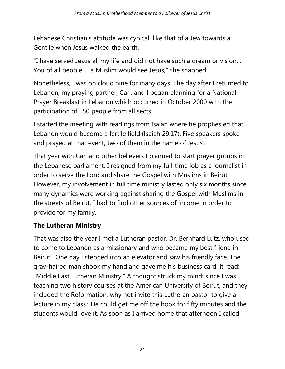Lebanese Christian's attitude was cynical, like that of a Jew towards a Gentile when Jesus walked the earth.

"I have served Jesus all my life and did not have such a dream or vision… You of all people … a Muslim would see Jesus," she snapped.

Nonetheless, I was on cloud nine for many days. The day after I returned to Lebanon, my praying partner, Carl, and I began planning for a National Prayer Breakfast in Lebanon which occurred in October 2000 with the participation of 150 people from all sects.

I started the meeting with readings from Isaiah where he prophesied that Lebanon would become a fertile field (Isaiah 29:17). Five speakers spoke and prayed at that event, two of them in the name of Jesus.

That year with Carl and other believers I planned to start prayer groups in the Lebanese parliament. I resigned from my full-time job as a journalist in order to serve the Lord and share the Gospel with Muslims in Beirut. However, my involvement in full time ministry lasted only six months since many dynamics were working against sharing the Gospel with Muslims in the streets of Beirut. I had to find other sources of income in order to provide for my family.

#### **The Lutheran Ministry**

That was also the year I met a Lutheran pastor, Dr. Bernhard Lutz, who used to come to Lebanon as a missionary and who became my best friend in Beirut. One day I stepped into an elevator and saw his friendly face. The gray-haired man shook my hand and gave me his business card. It read: "Middle East Lutheran Ministry." A thought struck my mind: since I was teaching two history courses at the American University of Beirut, and they included the Reformation, why not invite this Lutheran pastor to give a lecture in my class? He could get me off the hook for fifty minutes and the students would love it. As soon as I arrived home that afternoon I called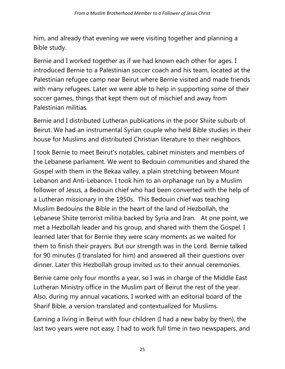him, and already that evening we were visiting together and planning a Bible study.

Bernie and I worked together as if we had known each other for ages. I introduced Bernie to a Palestinian soccer coach and his team, located at the Palestinian refugee camp near Beirut where Bernie visited and made friends with many refugees. Later we were able to help in supporting some of their soccer games, things that kept them out of mischief and away from Palestinian militias.

Bernie and I distributed Lutheran publications in the poor Shiite suburb of Beirut. We had an instrumental Syrian couple who held Bible studies in their house for Muslims and distributed Christian literature to their neighbors.

I took Bernie to meet Beirut's notables, cabinet ministers and members of the Lebanese parliament. We went to Bedouin communities and shared the Gospel with them in the Bekaa valley, a plain stretching between Mount Lebanon and Anti-Lebanon. I took him to an orphanage run by a Muslim follower of Jesus, a Bedouin chief who had been converted with the help of a Lutheran missionary in the 1950s. This Bedouin chief was teaching Muslim Bedouins the Bible in the heart of the land of Hezbollah, the Lebanese Shiite terrorist militia backed by Syria and Iran. At one point, we met a Hezbollah leader and his group, and shared with them the Gospel. I learned later that for Bernie they were scary moments as we waited for them to finish their prayers. But our strength was in the Lord. Bernie talked for 90 minutes (I translated for him) and answered all their questions over dinner. Later this Hezbollah group invited us to their annual ceremonies.

Bernie came only four months a year, so I was in charge of the Middle East Lutheran Ministry office in the Muslim part of Beirut the rest of the year. Also, during my annual vacations, I worked with an editorial board of the Sharif Bible, a version translated and contextualized for Muslims.

Earning a living in Beirut with four children (I had a new baby by then), the last two years were not easy. I had to work full time in two newspapers, and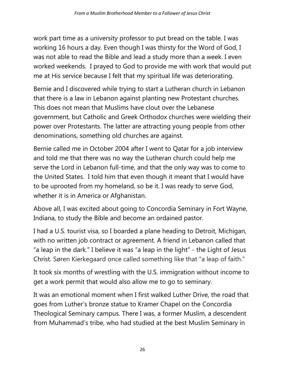work part time as a university professor to put bread on the table. I was working 16 hours a day. Even though I was thirsty for the Word of God, I was not able to read the Bible and lead a study more than a week. I even worked weekends. I prayed to God to provide me with work that would put me at His service because I felt that my spiritual life was deteriorating.

Bernie and I discovered while trying to start a Lutheran church in Lebanon that there is a law in Lebanon against planting new Protestant churches. This does not mean that Muslims have clout over the Lebanese government, but Catholic and Greek Orthodox churches were wielding their power over Protestants. The latter are attracting young people from other denominations, something old churches are against.

Bernie called me in October 2004 after I went to Qatar for a job interview and told me that there was no way the Lutheran church could help me serve the Lord in Lebanon full-time, and that the only way was to come to the United States. I told him that even though it meant that I would have to be uprooted from my homeland, so be it. I was ready to serve God, whether it is in America or Afghanistan.

Above all, I was excited about going to Concordia Seminary in Fort Wayne, Indiana, to study the Bible and become an ordained pastor.

I had a U.S. tourist visa, so I boarded a plane heading to Detroit, Michigan, with no written job contract or agreement. A friend in Lebanon called that "a leap in the dark." I believe it was "a leap in the light" - the Light of Jesus Christ. Søren Kierkegaard once called something like that "a leap of faith."

It took six months of wrestling with the U.S. immigration without income to get a work permit that would also allow me to go to seminary.

It was an emotional moment when I first walked Luther Drive, the road that goes from Luther's bronze statue to Kramer Chapel on the Concordia Theological Seminary campus. There I was, a former Muslim, a descendent from Muhammad's tribe, who had studied at the best Muslim Seminary in